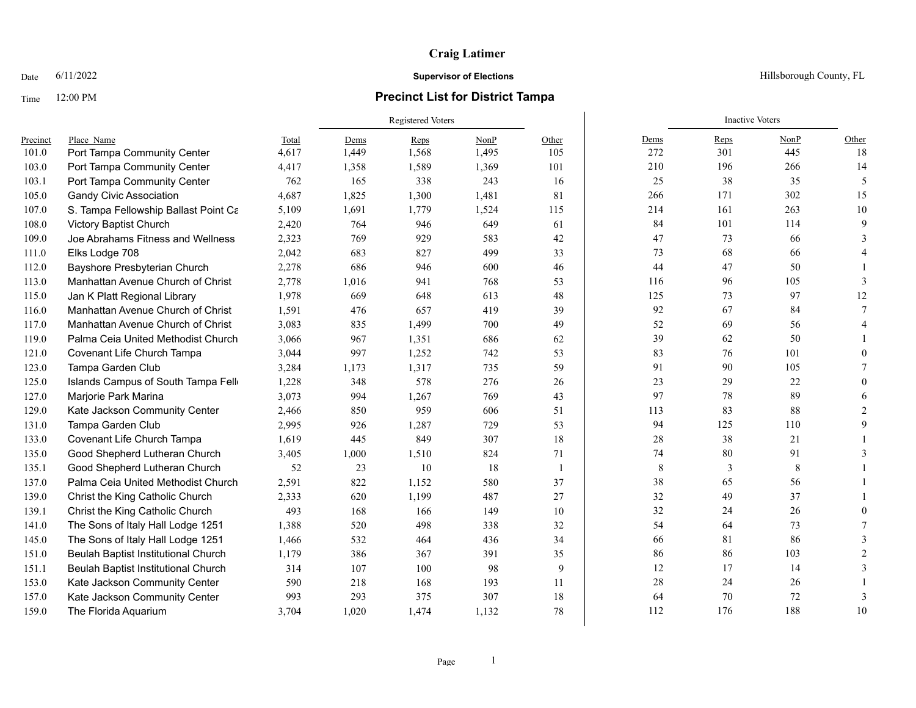## Time 12:00 PM **Precinct List for District Tampa**

Date  $6/11/2022$  Hillsborough County, FL

|          |                                      |       | Registered Voters |       |       |       |             | <b>Inactive Voters</b> |      |                |
|----------|--------------------------------------|-------|-------------------|-------|-------|-------|-------------|------------------------|------|----------------|
| Precinct | Place Name                           | Total | Dems              | Reps  | NonP  | Other | Dems        | Reps                   | NonP | Other          |
| 101.0    | Port Tampa Community Center          | 4,617 | 1,449             | 1,568 | 1,495 | 105   | 272         | 301                    | 445  | 18             |
| 103.0    | Port Tampa Community Center          | 4,417 | 1,358             | 1,589 | 1,369 | 101   | 210         | 196                    | 266  | 14             |
| 103.1    | Port Tampa Community Center          | 762   | 165               | 338   | 243   | 16    | 25          | 38                     | 35   | 5              |
| 105.0    | <b>Gandy Civic Association</b>       | 4,687 | 1,825             | 1,300 | 1,481 | 81    | 266         | 171                    | 302  | 15             |
| 107.0    | S. Tampa Fellowship Ballast Point Ca | 5,109 | 1,691             | 1,779 | 1,524 | 115   | 214         | 161                    | 263  | 10             |
| 108.0    | Victory Baptist Church               | 2,420 | 764               | 946   | 649   | 61    | 84          | 101                    | 114  | 9              |
| 109.0    | Joe Abrahams Fitness and Wellness    | 2,323 | 769               | 929   | 583   | 42    | 47          | 73                     | 66   | 3              |
| 111.0    | Elks Lodge 708                       | 2,042 | 683               | 827   | 499   | 33    | 73          | 68                     | 66   | 4              |
| 112.0    | Bayshore Presbyterian Church         | 2,278 | 686               | 946   | 600   | 46    | 44          | 47                     | 50   |                |
| 113.0    | Manhattan Avenue Church of Christ    | 2,778 | 1,016             | 941   | 768   | 53    | 116         | 96                     | 105  | 3              |
| 115.0    | Jan K Platt Regional Library         | 1,978 | 669               | 648   | 613   | 48    | 125         | 73                     | 97   | 12             |
| 116.0    | Manhattan Avenue Church of Christ    | 1,591 | 476               | 657   | 419   | 39    | 92          | 67                     | 84   | $\tau$         |
| 117.0    | Manhattan Avenue Church of Christ    | 3,083 | 835               | 1,499 | 700   | 49    | 52          | 69                     | 56   | $\overline{4}$ |
| 119.0    | Palma Ceia United Methodist Church   | 3,066 | 967               | 1,351 | 686   | 62    | 39          | 62                     | 50   |                |
| 121.0    | Covenant Life Church Tampa           | 3,044 | 997               | 1,252 | 742   | 53    | 83          | 76                     | 101  | 0              |
| 123.0    | Tampa Garden Club                    | 3,284 | 1,173             | 1,317 | 735   | 59    | 91          | 90                     | 105  | 7              |
| 125.0    | Islands Campus of South Tampa Fello  | 1,228 | 348               | 578   | 276   | 26    | 23          | 29                     | 22   | $\theta$       |
| 127.0    | Marjorie Park Marina                 | 3,073 | 994               | 1,267 | 769   | 43    | 97          | 78                     | 89   | 6              |
| 129.0    | Kate Jackson Community Center        | 2,466 | 850               | 959   | 606   | 51    | 113         | 83                     | 88   | $\overline{2}$ |
| 131.0    | Tampa Garden Club                    | 2,995 | 926               | 1,287 | 729   | 53    | 94          | 125                    | 110  | 9              |
| 133.0    | Covenant Life Church Tampa           | 1,619 | 445               | 849   | 307   | 18    | 28          | 38                     | 21   |                |
| 135.0    | Good Shepherd Lutheran Church        | 3,405 | 1,000             | 1,510 | 824   | 71    | 74          | 80                     | 91   | 3              |
| 135.1    | Good Shepherd Lutheran Church        | 52    | 23                | 10    | 18    | 1     | $\,$ 8 $\,$ | 3                      | 8    |                |
| 137.0    | Palma Ceia United Methodist Church   | 2,591 | 822               | 1,152 | 580   | 37    | 38          | 65                     | 56   |                |
| 139.0    | Christ the King Catholic Church      | 2,333 | 620               | 1,199 | 487   | 27    | 32          | 49                     | 37   |                |
| 139.1    | Christ the King Catholic Church      | 493   | 168               | 166   | 149   | 10    | 32          | 24                     | 26   | 0              |
| 141.0    | The Sons of Italy Hall Lodge 1251    | 1,388 | 520               | 498   | 338   | 32    | 54          | 64                     | 73   | 7              |
| 145.0    | The Sons of Italy Hall Lodge 1251    | 1,466 | 532               | 464   | 436   | 34    | 66          | 81                     | 86   | 3              |
| 151.0    | Beulah Baptist Institutional Church  | 1,179 | 386               | 367   | 391   | 35    | 86          | 86                     | 103  | $\overline{2}$ |
| 151.1    | Beulah Baptist Institutional Church  | 314   | 107               | 100   | 98    | 9     | 12          | 17                     | 14   | 3              |
| 153.0    | Kate Jackson Community Center        | 590   | 218               | 168   | 193   | 11    | 28          | 24                     | 26   |                |
| 157.0    | Kate Jackson Community Center        | 993   | 293               | 375   | 307   | 18    | 64          | 70                     | 72   | 3              |
| 159.0    | The Florida Aquarium                 | 3,704 | 1,020             | 1,474 | 1,132 | 78    | 112         | 176                    | 188  | 10             |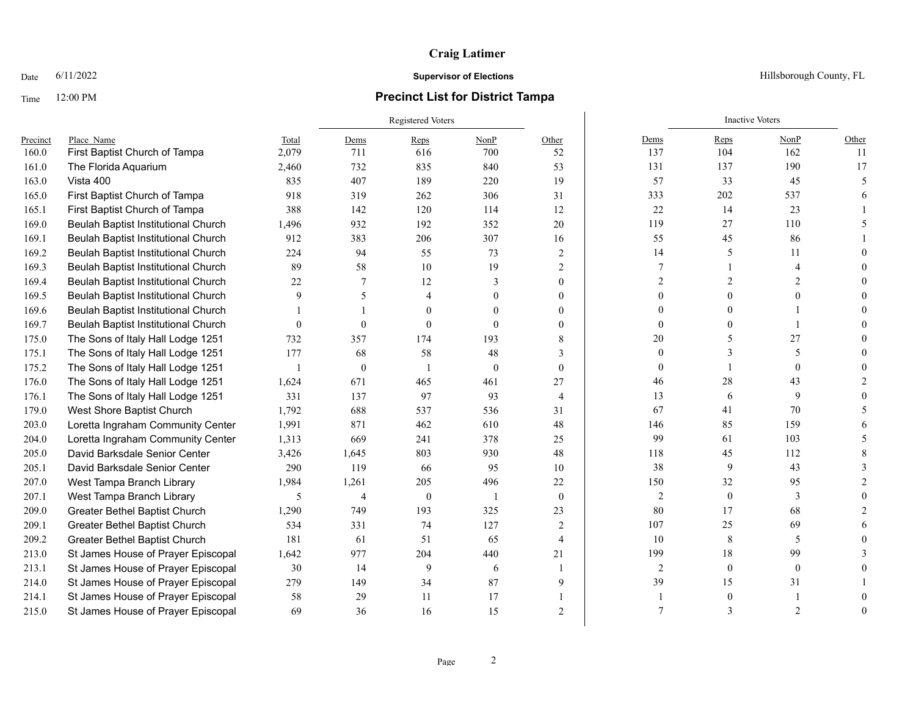### Time 12:00 PM **Precinct List for District Tampa**

Registered Voters **Inactive Voters** Inactive Voters **Inactive Voters** Precinct Place\_Name Total Dems Reps NonP Other Dems Reps NonP Other 160.0 First Baptist Church of Tampa 2,079 711 616 700 52 137 104 162 11 161.0 The Florida Aquarium 2,460 732 835 840 53 131 137 190 17 163.0 Vista 400 835 407 189 220 19 57 33 45 5 165.0 First Baptist Church of Tampa 918 319 262 306 31 333 202 537 6 165.1 First Baptist Church of Tampa 388 142 120 114 12 22 14 23 1 169.0 Beulah Baptist Institutional Church 1.496 932 192 352 20 119 119 27 110 5 169.1 Beulah Baptist Institutional Church 912 383 206 307 16 55 45 86 1 169.2 Beulah Baptist Institutional Church 224 94 55 73 2 14 5 11 0 169.3 Beulah Baptist Institutional Church 89 58 10 19 2 7 1 4 0 169.4 Beulah Baptist Institutional Church 22 7 12 3 0 2 2 2 2 0 169.5 Beulah Baptist Institutional Church 9 5 4 0 0 0 0 0 0 169.6 Beulah Baptist Institutional Church 1 1 1 0 0 0 0 0 0 0 0 0 1 0 0 169.7 Beulah Baptist Institutional Church 0 0 0 0 0 0 0 0 0 0 0 1 0 0 1 0 0 0 1 0 0 1 0 0 1 0 0 0 1 0 0 0 1 0 0 175.0 The Sons of Italy Hall Lodge 1251 732 357 174 193 8 20 5 27 0 175.1 The Sons of Italy Hall Lodge 1251 177 68 58 48 3 0 3 0 3 5 0 175.2 The Sons of Italy Hall Lodge 1251 1 0 1 0 0 0 1 0 0 176.0 The Sons of Italy Hall Lodge 1251 1,624 671 465 461 27 46 461 28 43 2 176.1 The Sons of Italy Hall Lodge 1251 331 137 97 93 4 13 6 9 0 179.0 West Shore Baptist Church 1,792 688 537 536 31 67 41 70 5 203.0 Loretta Ingraham Community Center 1,991 871 462 610 48 146 85 159 6 204.0 Loretta Ingraham Community Center 1,313 669 241 378 25 99 61 103 5 205.0 David Barksdale Senior Center 3,426 1,645 803 930 48 118 45 112 8 205.1 David Barksdale Senior Center 290 119 66 95 10 38 9 43 3 207.0 West Tampa Branch Library 1.984 1.261 205 496 22 150 32 95 2 207.1 West Tampa Branch Library 5 5 4 0 1 0 2 0 3 0 209.0 Greater Bethel Baptist Church 1,290 749 193 325 23 80 17 68 2 209.1 Greater Bethel Baptist Church 534 331 74 127 2 107 25 69 6

Date 6/11/2022 **Supervisor of Elections Supervisor of Elections** Hillsborough County, FL

209.2 Greater Bethel Baptist Church 181 61 51 65 4 10 8 5 0 213.0 St James House of Prayer Episcopal 1,642 977 204 440 21 99 18 99 3 213.1 St James House of Prayer Episcopal 30 14 9 6 1 2 0 0 0 214.0 St James House of Prayer Episcopal 279 149 34 87 9 39 15 31 1 214.1 St James House of Prayer Episcopal 58 29 11 17 1 1 17 1 1 0 1 0 215.0 St James House of Prayer Episcopal 69 36 16 15 2 7 3 2 0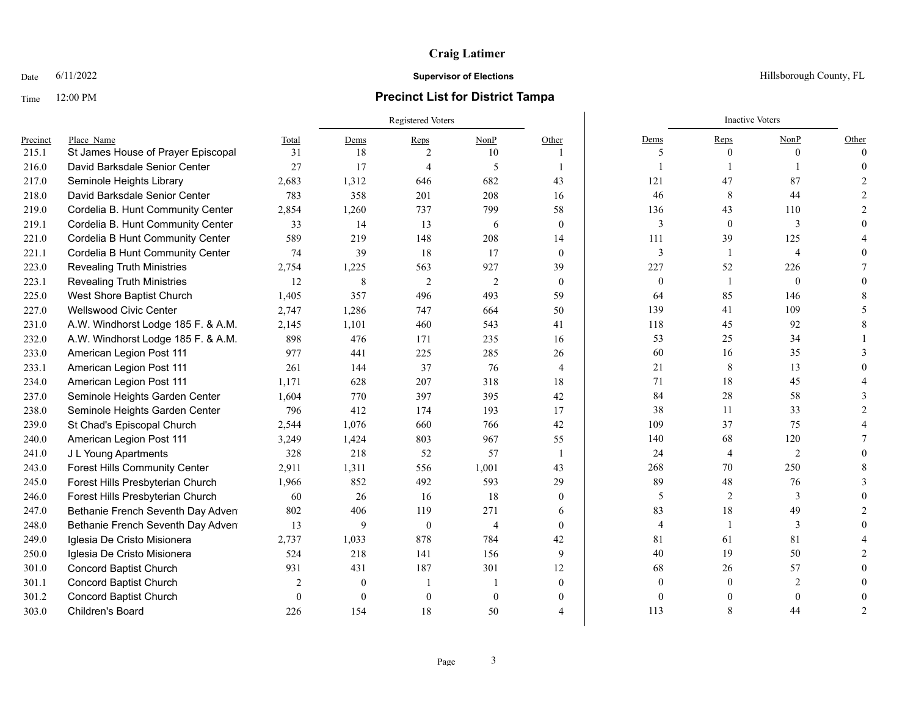## Time 12:00 PM **Precinct List for District Tampa**

Date  $6/11/2022$  Hillsborough County, FL

|          |                                      |                | Registered Voters |                |                |                |                | <b>Inactive Voters</b> |                |          |
|----------|--------------------------------------|----------------|-------------------|----------------|----------------|----------------|----------------|------------------------|----------------|----------|
| Precinct | Place Name                           | Total          | Dems              | Reps           | NonP           | Other          | Dems           | Reps                   | NonP           | Other    |
| 215.1    | St James House of Prayer Episcopal   | 31             | 18                | 2              | 10             | 1              | 5              | $\mathbf{0}$           | $\Omega$       | $\Omega$ |
| 216.0    | David Barksdale Senior Center        | 27             | 17                | $\overline{4}$ | -5             | $\mathbf{1}$   |                |                        |                |          |
| 217.0    | Seminole Heights Library             | 2,683          | 1,312             | 646            | 682            | 43             | 121            | 47                     | 87             |          |
| 218.0    | David Barksdale Senior Center        | 783            | 358               | 201            | 208            | 16             | 46             | 8                      | 44             |          |
| 219.0    | Cordelia B. Hunt Community Center    | 2,854          | 1,260             | 737            | 799            | 58             | 136            | 43                     | 110            |          |
| 219.1    | Cordelia B. Hunt Community Center    | 33             | 14                | 13             | 6              | $\overline{0}$ | 3              | $\mathbf{0}$           | 3              |          |
| 221.0    | Cordelia B Hunt Community Center     | 589            | 219               | 148            | 208            | 14             | 111            | 39                     | 125            |          |
| 221.1    | Cordelia B Hunt Community Center     | 74             | 39                | 18             | 17             | $\theta$       | 3              | -1                     | $\overline{4}$ |          |
| 223.0    | <b>Revealing Truth Ministries</b>    | 2,754          | 1,225             | 563            | 927            | 39             | 227            | 52                     | 226            |          |
| 223.1    | <b>Revealing Truth Ministries</b>    | 12             | 8                 | $\overline{2}$ | 2              | $\theta$       | $\mathbf{0}$   | $\mathbf{1}$           | $\theta$       |          |
| 225.0    | West Shore Baptist Church            | 1,405          | 357               | 496            | 493            | 59             | 64             | 85                     | 146            |          |
| 227.0    | Wellswood Civic Center               | 2,747          | 1,286             | 747            | 664            | 50             | 139            | 41                     | 109            |          |
| 231.0    | A.W. Windhorst Lodge 185 F. & A.M.   | 2,145          | 1,101             | 460            | 543            | 41             | 118            | 45                     | 92             |          |
| 232.0    | A.W. Windhorst Lodge 185 F. & A.M.   | 898            | 476               | 171            | 235            | 16             | 53             | 25                     | 34             |          |
| 233.0    | American Legion Post 111             | 977            | 441               | 225            | 285            | 26             | 60             | 16                     | 35             |          |
| 233.1    | American Legion Post 111             | 261            | 144               | 37             | 76             | $\overline{4}$ | 21             | 8                      | 13             |          |
| 234.0    | American Legion Post 111             | 1.171          | 628               | 207            | 318            | 18             | 71             | 18                     | 45             |          |
| 237.0    | Seminole Heights Garden Center       | 1.604          | 770               | 397            | 395            | 42             | 84             | 28                     | 58             |          |
| 238.0    | Seminole Heights Garden Center       | 796            | 412               | 174            | 193            | 17             | 38             | 11                     | 33             |          |
| 239.0    | St Chad's Episcopal Church           | 2,544          | 1,076             | 660            | 766            | 42             | 109            | 37                     | 75             |          |
| 240.0    | American Legion Post 111             | 3,249          | 1,424             | 803            | 967            | 55             | 140            | 68                     | 120            |          |
| 241.0    | J L Young Apartments                 | 328            | 218               | 52             | 57             | $\overline{1}$ | 24             | $\overline{4}$         | $\overline{2}$ |          |
| 243.0    | <b>Forest Hills Community Center</b> | 2,911          | 1,311             | 556            | 1,001          | 43             | 268            | 70                     | 250            |          |
| 245.0    | Forest Hills Presbyterian Church     | 1,966          | 852               | 492            | 593            | 29             | 89             | 48                     | 76             |          |
| 246.0    | Forest Hills Presbyterian Church     | 60             | 26                | 16             | 18             | $\mathbf{0}$   | 5              | 2                      | 3              |          |
| 247.0    | Bethanie French Seventh Day Adven    | 802            | 406               | 119            | 271            | 6              | 83             | 18                     | 49             |          |
| 248.0    | Bethanie French Seventh Day Adven    | 13             | 9                 | $\mathbf{0}$   | $\overline{4}$ | $\theta$       | $\overline{4}$ | $\mathbf{1}$           | 3              |          |
| 249.0    | Iglesia De Cristo Misionera          | 2,737          | 1,033             | 878            | 784            | 42             | 81             | 61                     | 81             |          |
| 250.0    | Iglesia De Cristo Misionera          | 524            | 218               | 141            | 156            | 9              | 40             | 19                     | 50             |          |
| 301.0    | <b>Concord Baptist Church</b>        | 931            | 431               | 187            | 301            | 12             | 68             | 26                     | 57             |          |
| 301.1    | <b>Concord Baptist Church</b>        | $\overline{2}$ | $\mathbf{0}$      | $\overline{1}$ | $\overline{1}$ | $\theta$       | $\theta$       | $\mathbf{0}$           | $\overline{2}$ |          |
| 301.2    | Concord Baptist Church               | $\theta$       | $\mathbf{0}$      | $\theta$       | $\theta$       | $\theta$       | $\Omega$       |                        | $\theta$       |          |
| 303.0    | Children's Board                     | 226            | 154               | 18             | 50             | 4              | 113            | 8                      | 44             |          |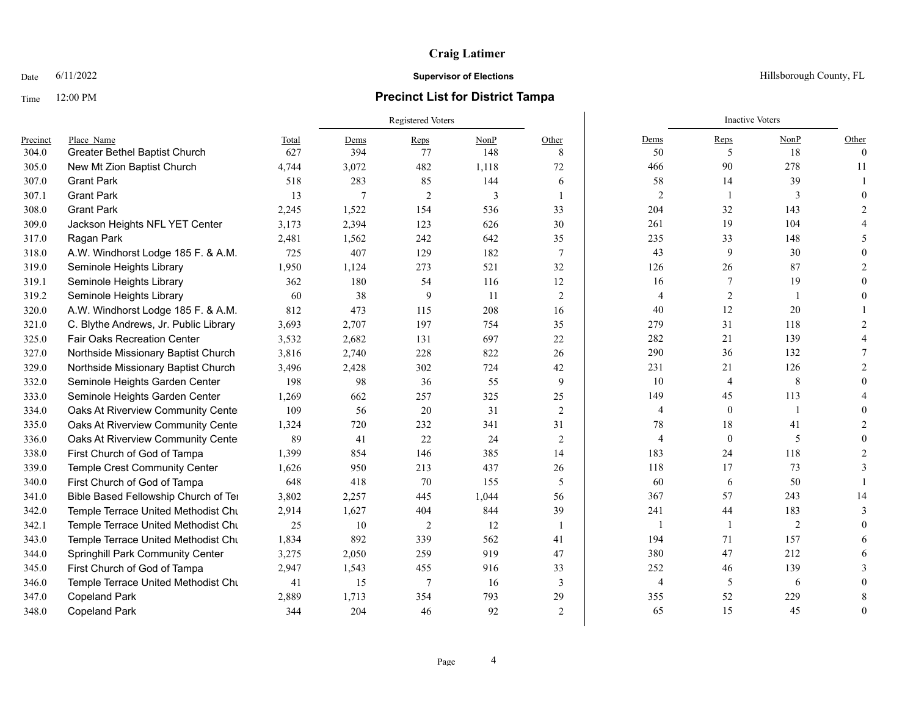## Time 12:00 PM **Precinct List for District Tampa**

|          |                                       |       | Registered Voters |                |       |                 |                | <b>Inactive Voters</b> |                |                               |
|----------|---------------------------------------|-------|-------------------|----------------|-------|-----------------|----------------|------------------------|----------------|-------------------------------|
| Precinct | Place Name                            | Total | Dems              | Reps           | NonP  | Other           | Dems           | Reps                   | NonP           | Other                         |
| 304.0    | Greater Bethel Baptist Church         | 627   | 394               | 77             | 148   | 8               | 50             | 5                      | 18             | $\theta$                      |
| 305.0    | New Mt Zion Baptist Church            | 4,744 | 3,072             | 482            | 1,118 | 72              | 466            | 90                     | 278            | 11                            |
| 307.0    | <b>Grant Park</b>                     | 518   | 283               | 85             | 144   | 6               | 58             | 14                     | 39             |                               |
| 307.1    | <b>Grant Park</b>                     | 13    | 7                 | $\overline{2}$ | 3     |                 | $\overline{2}$ | $\overline{1}$         | 3              | $\Omega$                      |
| 308.0    | <b>Grant Park</b>                     | 2,245 | 1,522             | 154            | 536   | 33              | 204            | 32                     | 143            |                               |
| 309.0    | Jackson Heights NFL YET Center        | 3,173 | 2,394             | 123            | 626   | 30              | 261            | 19                     | 104            |                               |
| 317.0    | Ragan Park                            | 2,481 | 1,562             | 242            | 642   | 35              | 235            | 33                     | 148            |                               |
| 318.0    | A.W. Windhorst Lodge 185 F. & A.M.    | 725   | 407               | 129            | 182   | $7\phantom{.0}$ | 43             | 9                      | 30             |                               |
| 319.0    | Seminole Heights Library              | 1,950 | 1,124             | 273            | 521   | 32              | 126            | 26                     | 87             |                               |
| 319.1    | Seminole Heights Library              | 362   | 180               | 54             | 116   | 12              | 16             | 7                      | 19             |                               |
| 319.2    | Seminole Heights Library              | 60    | 38                | 9              | 11    | $\overline{2}$  | $\overline{4}$ | 2                      |                |                               |
| 320.0    | A.W. Windhorst Lodge 185 F. & A.M.    | 812   | 473               | 115            | 208   | 16              | 40             | 12                     | 20             |                               |
| 321.0    | C. Blythe Andrews, Jr. Public Library | 3,693 | 2,707             | 197            | 754   | 35              | 279            | 31                     | 118            |                               |
| 325.0    | <b>Fair Oaks Recreation Center</b>    | 3,532 | 2,682             | 131            | 697   | 22              | 282            | 21                     | 139            |                               |
| 327.0    | Northside Missionary Baptist Church   | 3,816 | 2,740             | 228            | 822   | 26              | 290            | 36                     | 132            |                               |
| 329.0    | Northside Missionary Baptist Church   | 3,496 | 2,428             | 302            | 724   | 42              | 231            | 21                     | 126            | 2                             |
| 332.0    | Seminole Heights Garden Center        | 198   | 98                | 36             | 55    | 9               | 10             | $\overline{4}$         | 8              | $\theta$                      |
| 333.0    | Seminole Heights Garden Center        | 1,269 | 662               | 257            | 325   | 25              | 149            | 45                     | 113            |                               |
| 334.0    | Oaks At Riverview Community Cente     | 109   | 56                | 20             | 31    | 2               | $\overline{4}$ | $\theta$               | $\overline{1}$ | $\Omega$                      |
| 335.0    | Oaks At Riverview Community Cente     | 1,324 | 720               | 232            | 341   | 31              | 78             | 18                     | 41             | 2                             |
| 336.0    | Oaks At Riverview Community Center    | 89    | 41                | 22             | 24    | $\overline{2}$  | $\overline{4}$ | $\mathbf{0}$           | 5              | $\Omega$                      |
| 338.0    | First Church of God of Tampa          | 1,399 | 854               | 146            | 385   | 14              | 183            | 24                     | 118            | $\mathfrak{D}_{\mathfrak{p}}$ |
| 339.0    | Temple Crest Community Center         | 1,626 | 950               | 213            | 437   | 26              | 118            | 17                     | 73             |                               |
| 340.0    | First Church of God of Tampa          | 648   | 418               | 70             | 155   | 5               | 60             | 6                      | 50             |                               |
| 341.0    | Bible Based Fellowship Church of Ter  | 3,802 | 2,257             | 445            | 1,044 | 56              | 367            | 57                     | 243            | 14                            |
| 342.0    | Temple Terrace United Methodist Chu   | 2,914 | 1,627             | 404            | 844   | 39              | 241            | 44                     | 183            | 3                             |
| 342.1    | Temple Terrace United Methodist Chu   | 25    | 10                | 2              | 12    |                 | -1             | $\overline{1}$         | 2              | $\Omega$                      |
| 343.0    | Temple Terrace United Methodist Chu   | 1,834 | 892               | 339            | 562   | 41              | 194            | 71                     | 157            | 6                             |
| 344.0    | Springhill Park Community Center      | 3,275 | 2,050             | 259            | 919   | 47              | 380            | 47                     | 212            | 6                             |
| 345.0    | First Church of God of Tampa          | 2,947 | 1,543             | 455            | 916   | 33              | 252            | 46                     | 139            |                               |
| 346.0    | Temple Terrace United Methodist Chu   | 41    | 15                | 7              | 16    | 3               | $\overline{4}$ | 5                      | 6              |                               |
| 347.0    | <b>Copeland Park</b>                  | 2,889 | 1,713             | 354            | 793   | 29              | 355            | 52                     | 229            | 8                             |
| 348.0    | <b>Copeland Park</b>                  | 344   | 204               | 46             | 92    | $\mathfrak{D}$  | 65             | 15                     | 45             | $\Omega$                      |